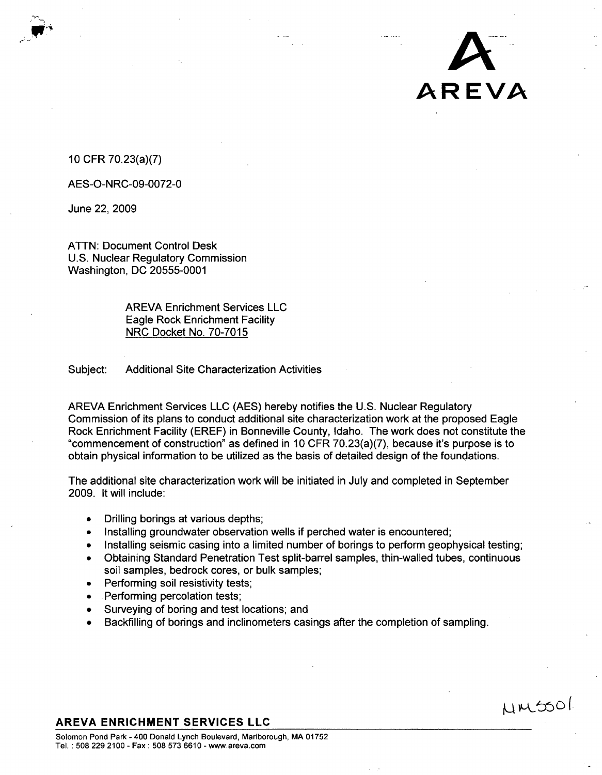## 10 CFR 70.23(a)(7)

AES-O-NRC-09-0072-0

June 22, 2009

ATTN: Document Control Desk U.S. Nuclear Regulatory Commission Washington, DC 20555-0001

> AREVA Enrichment Services LLC Eagle Rock Enrichment Facility NRC Docket No. 70-7015

Subject: Additional Site Characterization Activities

AREVA Enrichment Services LLC (AES) hereby notifies the U.S. Nuclear Regulatory Commission of its plans to conduct additional site characterization work at the proposed Eagle Rock Enrichment Facility (EREF) in Bonneville County, Idaho. The work does not constitute the "commencement of construction" as defined in 10 CFR 70.23(a)(7), because it's purpose is to obtain physical information to be utilized as the basis of detailed design of the foundations.

*A*

AREVA

 $MMSO$ 

The additional site characterization work will be initiated in July and completed in September 2009. It will include:

- **Drilling borings at various depths;**
- Installing groundwater observation wells if perched water is encountered;
- Installing seismic casing into a limited number of borings to perform geophysical testing;
- \* Obtaining Standard Penetration Test split-barrel samples, thin-walled tubes, continuous soil samples, bedrock cores, or bulk samples;
- Performing soil resistivity tests;
- Performing percolation tests;
- Surveying of boring and test locations; and
- **"** Backfilling of borings and inclinometers casings after the completion of sampling.

## AREVA **ENRICHMENT SERVICES LLC**